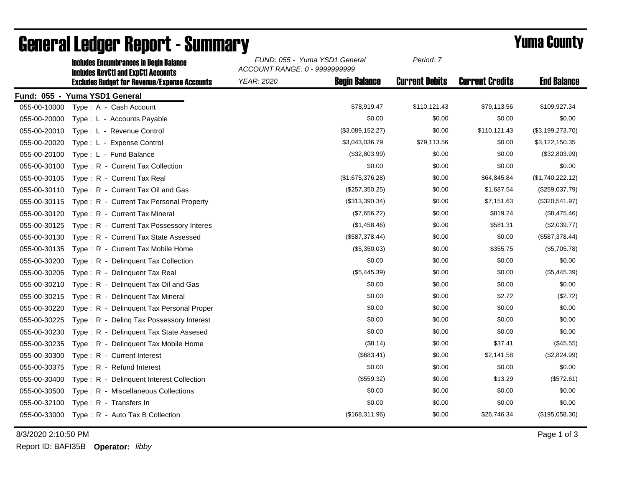|                               | <b>Includes RevCtI and ExpCtI Accounts</b>          | ACCOUNT RANGE: 0 - 9999999999             |                       |                        |                    |  |  |  |  |  |
|-------------------------------|-----------------------------------------------------|-------------------------------------------|-----------------------|------------------------|--------------------|--|--|--|--|--|
|                               | <b>Excludes Budget for Revenue/Expense Accounts</b> | <b>Begin Balance</b><br><b>YEAR: 2020</b> | <b>Current Debits</b> | <b>Current Credits</b> | <b>End Balance</b> |  |  |  |  |  |
| Fund: 055 - Yuma YSD1 General |                                                     |                                           |                       |                        |                    |  |  |  |  |  |
| 055-00-10000                  | Type: A - Cash Account                              | \$78,919.47                               | \$110,121.43          | \$79,113.56            | \$109,927.34       |  |  |  |  |  |
| 055-00-20000                  | Type: L - Accounts Payable                          |                                           | \$0.00<br>\$0.00      | \$0.00                 | \$0.00             |  |  |  |  |  |
| 055-00-20010                  | Type: L - Revenue Control                           | (\$3,089,152.27)                          | \$0.00                | \$110,121.43           | (\$3,199,273.70)   |  |  |  |  |  |
| 055-00-20020                  | Type: L - Expense Control                           | \$3,043,036.79                            | \$79,113.56           | \$0.00                 | \$3,122,150.35     |  |  |  |  |  |
| 055-00-20100                  | Type: L - Fund Balance                              | (\$32,803.99)                             | \$0.00                | \$0.00                 | (\$32,803.99)      |  |  |  |  |  |
| 055-00-30100                  | Type: R - Current Tax Collection                    |                                           | \$0.00<br>\$0.00      | \$0.00                 | \$0.00             |  |  |  |  |  |
| 055-00-30105                  | Type: R - Current Tax Real                          | (\$1,675,376.28)                          | \$0.00                | \$64,845.84            | (\$1,740,222.12)   |  |  |  |  |  |
| 055-00-30110                  | Type: R - Current Tax Oil and Gas                   | (\$257,350.25)                            | \$0.00                | \$1,687.54             | (\$259,037.79)     |  |  |  |  |  |
| 055-00-30115                  | Type: R - Current Tax Personal Property             | (\$313,390.34)                            | \$0.00                | \$7,151.63             | (\$320,541.97)     |  |  |  |  |  |
| 055-00-30120                  | Type: R - Current Tax Mineral                       | (\$7,656.22)                              | \$0.00                | \$819.24               | (\$8,475.46)       |  |  |  |  |  |
| 055-00-30125                  | Type: R - Current Tax Possessory Interes            | (\$1,458.46)                              | \$0.00                | \$581.31               | (\$2,039.77)       |  |  |  |  |  |
| 055-00-30130                  | Type: R - Current Tax State Assessed                | (\$587,378.44)                            | \$0.00                | \$0.00                 | (\$587,378.44)     |  |  |  |  |  |
| 055-00-30135                  | Type: R - Current Tax Mobile Home                   | (\$5,350.03)                              | \$0.00                | \$355.75               | (\$5,705.78)       |  |  |  |  |  |
| 055-00-30200                  | Type: R - Delinquent Tax Collection                 |                                           | \$0.00<br>\$0.00      | \$0.00                 | \$0.00             |  |  |  |  |  |
| 055-00-30205                  | Type: R - Delinquent Tax Real                       | (\$5,445.39)                              | \$0.00                | \$0.00                 | (\$5,445.39)       |  |  |  |  |  |
| 055-00-30210                  | Type: R - Delinquent Tax Oil and Gas                |                                           | \$0.00<br>\$0.00      | \$0.00                 | \$0.00             |  |  |  |  |  |
| 055-00-30215                  | Type: R - Delinquent Tax Mineral                    |                                           | \$0.00<br>\$0.00      | \$2.72                 | (\$2.72)           |  |  |  |  |  |
| 055-00-30220                  | Type: R - Delinquent Tax Personal Proper            |                                           | \$0.00<br>\$0.00      | \$0.00                 | \$0.00             |  |  |  |  |  |
| 055-00-30225                  | Type: R - Deling Tax Possessory Interest            |                                           | \$0.00<br>\$0.00      | \$0.00                 | \$0.00             |  |  |  |  |  |
| 055-00-30230                  | Type: R - Delinquent Tax State Assesed              |                                           | \$0.00<br>\$0.00      | \$0.00                 | \$0.00             |  |  |  |  |  |
| 055-00-30235                  | Type: R - Delinquent Tax Mobile Home                |                                           | (\$8.14)<br>\$0.00    | \$37.41                | (\$45.55)          |  |  |  |  |  |
| 055-00-30300                  | Type: R - Current Interest                          |                                           | (\$683.41)<br>\$0.00  | \$2,141.58             | (\$2,824.99)       |  |  |  |  |  |
| 055-00-30375                  | Type: R - Refund Interest                           |                                           | \$0.00<br>\$0.00      | \$0.00                 | \$0.00             |  |  |  |  |  |
| 055-00-30400                  | Type: R - Delinquent Interest Collection            |                                           | (\$559.32)<br>\$0.00  | \$13.29                | (\$572.61)         |  |  |  |  |  |
| 055-00-30500                  | Type: R - Miscellaneous Collections                 |                                           | \$0.00<br>\$0.00      | \$0.00                 | \$0.00             |  |  |  |  |  |
| 055-00-32100                  | Type: R - Transfers In                              |                                           | \$0.00<br>\$0.00      | \$0.00                 | \$0.00             |  |  |  |  |  |
| 055-00-33000                  | Type: R - Auto Tax B Collection                     | (\$168,311.96)                            | \$0.00                | \$26,746.34            | (\$195,058.30)     |  |  |  |  |  |

## General Ledger Report - Summary **Example 2018** Yuma County

Includes Encumbrances in Begin Balance *FUND: 055 - Yuma YSD1 General*

8/3/2020 2:10:50 PM Page 1 of 3

Report ID: BAFI35B **Operator:** *libby*

*Period: 7*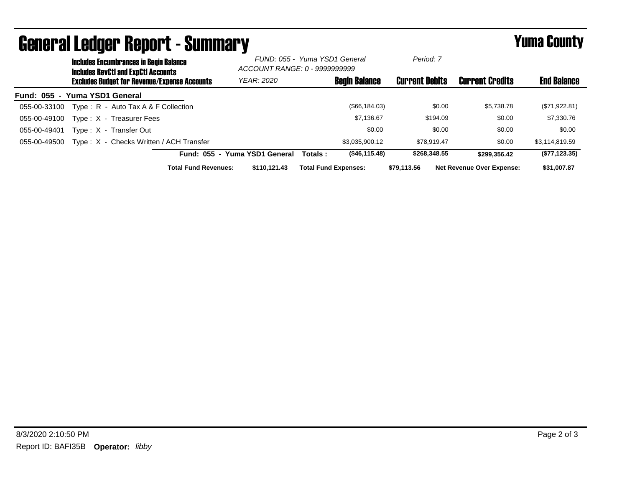| <b>PAIRI, AI FANNAI, KANOI. ( - 2011III) SILI</b><br>Tunia Gounty |                                                                                      |                                                     |                             |                                                                |         |                             |                       |              |                                  |                    |
|-------------------------------------------------------------------|--------------------------------------------------------------------------------------|-----------------------------------------------------|-----------------------------|----------------------------------------------------------------|---------|-----------------------------|-----------------------|--------------|----------------------------------|--------------------|
|                                                                   | <b>Includes Encumbrances in Begin Balance</b><br>Includes RevCtI and ExpCtI Accounts |                                                     |                             | FUND: 055 - Yuma YSD1 General<br>ACCOUNT RANGE: 0 - 9999999999 |         | Period: 7                   |                       |              |                                  |                    |
|                                                                   |                                                                                      | <b>Excludes Budget for Revenue/Expense Accounts</b> |                             | <b>YEAR: 2020</b>                                              |         | <b>Begin Balance</b>        | <b>Current Debits</b> |              | <b>Current Credits</b>           | <b>End Balance</b> |
| Fund: 055 - Yuma YSD1 General                                     |                                                                                      |                                                     |                             |                                                                |         |                             |                       |              |                                  |                    |
| 055-00-33100                                                      |                                                                                      | Type: $R -$ Auto Tax A & F Collection               |                             |                                                                |         | (\$66,184.03)               |                       | \$0.00       | \$5,738.78                       | (\$71,922.81)      |
| 055-00-49100                                                      |                                                                                      | Type: X - Treasurer Fees                            |                             |                                                                |         | \$7,136.67                  |                       | \$194.09     | \$0.00                           | \$7,330.76         |
| 055-00-49401                                                      |                                                                                      | Type: X - Transfer Out                              |                             |                                                                |         | \$0.00                      |                       | \$0.00       | \$0.00                           | \$0.00             |
| 055-00-49500                                                      |                                                                                      | Type: X - Checks Written / ACH Transfer             |                             |                                                                |         | \$3,035,900.12              |                       | \$78,919.47  | \$0.00                           | \$3,114,819.59     |
|                                                                   |                                                                                      |                                                     |                             | Fund: 055 - Yuma YSD1 General                                  | Totals: | (\$46,115.48)               |                       | \$268,348.55 | \$299.356.42                     | (\$77, 123.35)     |
|                                                                   |                                                                                      |                                                     | <b>Total Fund Revenues:</b> | \$110.121.43                                                   |         | <b>Total Fund Expenses:</b> | \$79.113.56           |              | <b>Net Revenue Over Expense:</b> | \$31,007.87        |

## General Ledger Report - Gummary Vuma County - Summary Yuma County